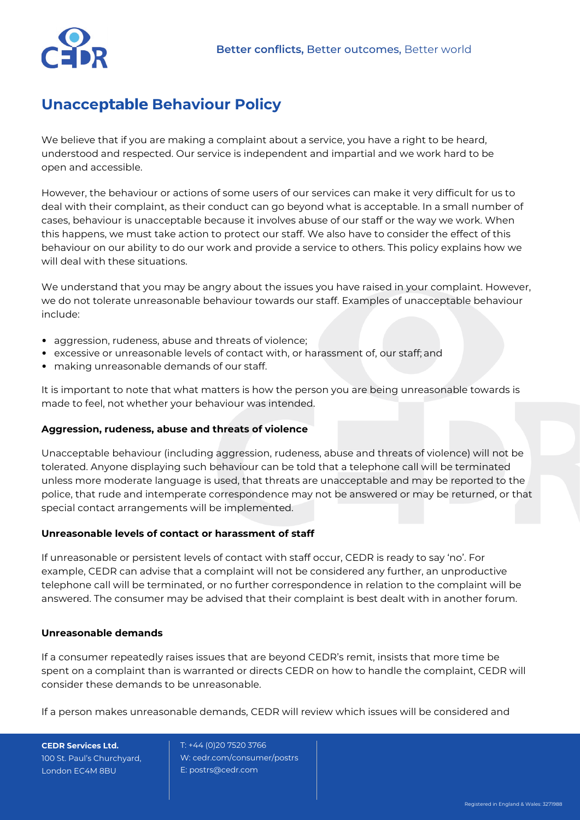

## **Unacceptable Behaviour Policy**

We believe that if you are making a complaint about a service, you have a right to be heard, understood and respected. Our service is independent and impartial and we work hard to be open and accessible.

However, the behaviour or actions of some users of our services can make it very difficult for us to deal with their complaint, as their conduct can go beyond what is acceptable. In a small number of cases, behaviour is unacceptable because it involves abuse of our staff or the way we work. When this happens, we must take action to protect our staff. We also have to consider the effect of this behaviour on our ability to do our work and provide a service to others. This policy explains how we will deal with these situations.

We understand that you may be angry about the issues you have raised in your complaint. However, we do not tolerate unreasonable behaviour towards our staff. Examples of unacceptable behaviour include:

- aggression, rudeness, abuse and threats of violence;
- excessive or unreasonable levels of contact with, or harassment of, our staff; and
- making unreasonable demands of our staff.

It is important to note that what matters is how the person you are being unreasonable towards is made to feel, not whether your behaviour was intended.

## **Aggression, rudeness, abuse and threats of violence**

Unacceptable behaviour (including aggression, rudeness, abuse and threats of violence) will not be tolerated. Anyone displaying such behaviour can be told that a telephone call will be terminated unless more moderate language is used, that threats are unacceptable and may be reported to the police, that rude and intemperate correspondence may not be answered or may be returned, or that special contact arrangements will be implemented.

## **Unreasonable levels of contact or harassment of staff**

If unreasonable or persistent levels of contact with staff occur, CEDR is ready to say 'no'. For example, CEDR can advise that a complaint will not be considered any further, an unproductive telephone call will be terminated, or no further correspondence in relation to the complaint will be answered. The consumer may be advised that their complaint is best dealt with in another forum.

## **Unreasonable demands**

If a consumer repeatedly raises issues that are beyond CEDR's remit, insists that more time be spent on a complaint than is warranted or directs CEDR on how to handle the complaint, CEDR will consider these demands to be unreasonable.

If a person makes unreasonable demands, CEDR will review which issues will be considered and

**CEDR Services Ltd.** 100 St. Paul's Churchyard, London EC4M 8BU

 T: +44 (0)20 7520 3766 W: cedr.com/consumer/postrs E[: postrs@cedr.com](mailto:applications@cedr.com)